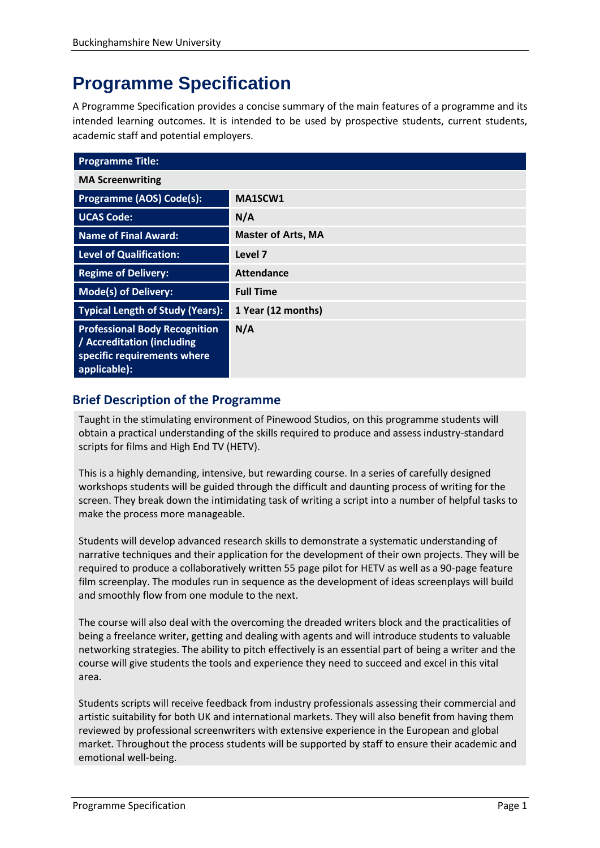# **Programme Specification**

A Programme Specification provides a concise summary of the main features of a programme and its intended learning outcomes. It is intended to be used by prospective students, current students, academic staff and potential employers.

| <b>Programme Title:</b>                                                                                           |                           |
|-------------------------------------------------------------------------------------------------------------------|---------------------------|
| <b>MA Screenwriting</b>                                                                                           |                           |
| Programme (AOS) Code(s):                                                                                          | MA1SCW1                   |
| <b>UCAS Code:</b>                                                                                                 | N/A                       |
| <b>Name of Final Award:</b>                                                                                       | <b>Master of Arts, MA</b> |
| <b>Level of Qualification:</b>                                                                                    | Level 7                   |
| <b>Regime of Delivery:</b>                                                                                        | <b>Attendance</b>         |
| <b>Mode(s) of Delivery:</b>                                                                                       | <b>Full Time</b>          |
| <b>Typical Length of Study (Years):</b>                                                                           | 1 Year (12 months)        |
| <b>Professional Body Recognition</b><br>/ Accreditation (including<br>specific requirements where<br>applicable): | N/A                       |

# **Brief Description of the Programme**

Taught in the stimulating environment of Pinewood Studios, on this programme students will obtain a practical understanding of the skills required to produce and assess industry-standard scripts for films and High End TV (HETV).

This is a highly demanding, intensive, but rewarding course. In a series of carefully designed workshops students will be guided through the difficult and daunting process of writing for the screen. They break down the intimidating task of writing a script into a number of helpful tasks to make the process more manageable.

Students will develop advanced research skills to demonstrate a systematic understanding of narrative techniques and their application for the development of their own projects. They will be required to produce a collaboratively written 55 page pilot for HETV as well as a 90-page feature film screenplay. The modules run in sequence as the development of ideas screenplays will build and smoothly flow from one module to the next.

The course will also deal with the overcoming the dreaded writers block and the practicalities of being a freelance writer, getting and dealing with agents and will introduce students to valuable networking strategies. The ability to pitch effectively is an essential part of being a writer and the course will give students the tools and experience they need to succeed and excel in this vital area.

Students scripts will receive feedback from industry professionals assessing their commercial and artistic suitability for both UK and international markets. They will also benefit from having them reviewed by professional screenwriters with extensive experience in the European and global market. Throughout the process students will be supported by staff to ensure their academic and emotional well-being.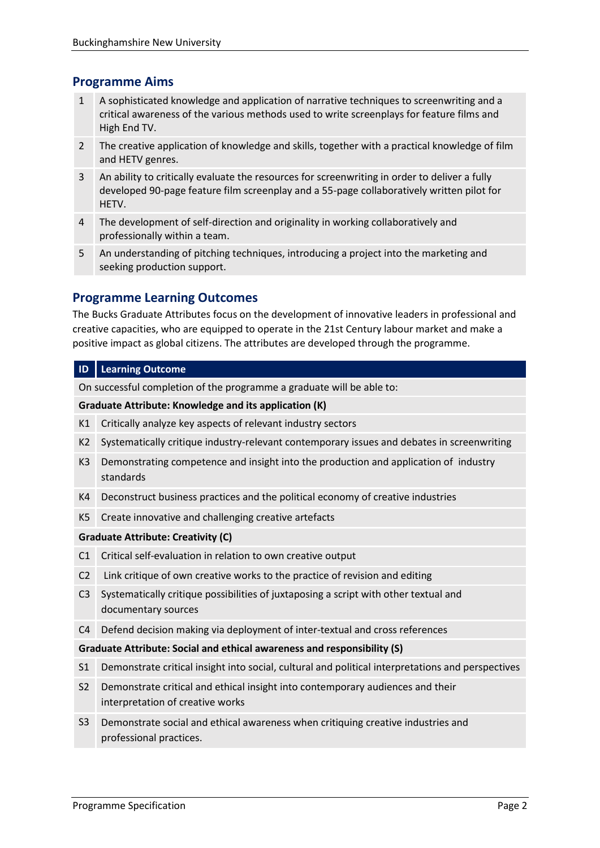# **Programme Aims**

- 1 A sophisticated knowledge and application of narrative techniques to screenwriting and a critical awareness of the various methods used to write screenplays for feature films and High End TV.
- 2 The creative application of knowledge and skills, together with a practical knowledge of film and HETV genres.
- 3 An ability to critically evaluate the resources for screenwriting in order to deliver a fully developed 90-page feature film screenplay and a 55-page collaboratively written pilot for HETV.
- 4 The development of self-direction and originality in working collaboratively and professionally within a team.
- 5 An understanding of pitching techniques, introducing a project into the marketing and seeking production support.

# **Programme Learning Outcomes**

The Bucks Graduate Attributes focus on the development of innovative leaders in professional and creative capacities, who are equipped to operate in the 21st Century labour market and make a positive impact as global citizens. The attributes are developed through the programme.

## **ID Learning Outcome**

On successful completion of the programme a graduate will be able to:

#### **Graduate Attribute: Knowledge and its application (K)**

- K1 Critically analyze key aspects of relevant industry sectors
- K2 Systematically critique industry-relevant contemporary issues and debates in screenwriting
- K3 Demonstrating competence and insight into the production and application of industry standards
- K4 Deconstruct business practices and the political economy of creative industries
- K5 Create innovative and challenging creative artefacts

## **Graduate Attribute: Creativity (C)**

- C1 Critical self-evaluation in relation to own creative output
- C2 Link critique of own creative works to the practice of revision and editing
- C3 Systematically critique possibilities of juxtaposing a script with other textual and documentary sources
- C4 Defend decision making via deployment of inter-textual and cross references

## **Graduate Attribute: Social and ethical awareness and responsibility (S)**

- S1 Demonstrate critical insight into social, cultural and political interpretations and perspectives
- S2 Demonstrate critical and ethical insight into contemporary audiences and their interpretation of creative works
- S3 Demonstrate social and ethical awareness when critiquing creative industries and professional practices.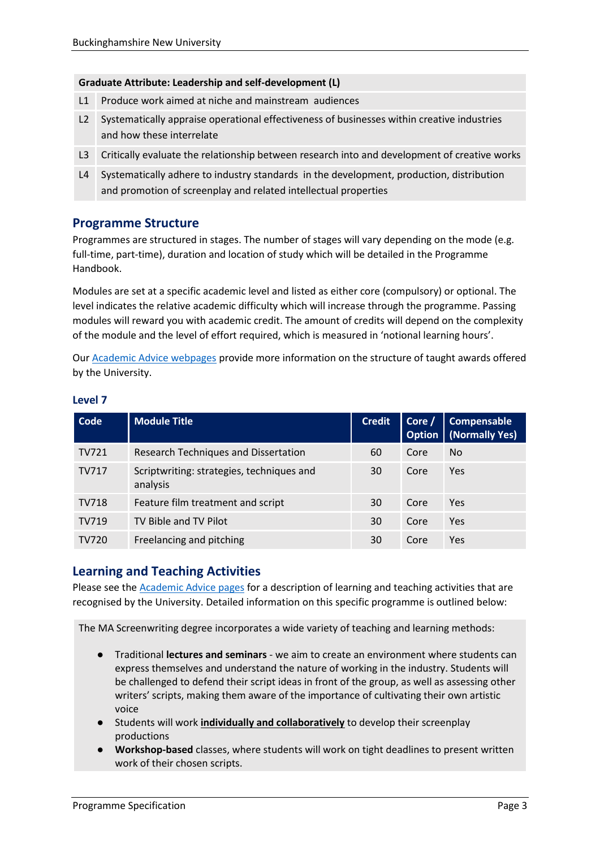#### **Graduate Attribute: Leadership and self-development (L)**

- L1 Produce work aimed at niche and mainstream audiences
- L2 Systematically appraise operational effectiveness of businesses within creative industries and how these interrelate
- L3 Critically evaluate the relationship between research into and development of creative works
- L4 Systematically adhere to industry standards in the development, production, distribution and promotion of screenplay and related intellectual properties

# **Programme Structure**

Programmes are structured in stages. The number of stages will vary depending on the mode (e.g. full-time, part-time), duration and location of study which will be detailed in the Programme Handbook.

Modules are set at a specific academic level and listed as either core (compulsory) or optional. The level indicates the relative academic difficulty which will increase through the programme. Passing modules will reward you with academic credit. The amount of credits will depend on the complexity of the module and the level of effort required, which is measured in 'notional learning hours'.

Our [Academic Advice webpages](https://bucks.ac.uk/students/academicadvice/course-structure-and-regulations/how-your-course-is-structured) provide more information on the structure of taught awards offered by the University.

| Level 7 |      |
|---------|------|
| Code    | Modu |

| Code         | <b>Module Title</b>                                   | <b>Credit</b> | Corc | Compensable<br><b>Option</b>   (Normally Yes) |
|--------------|-------------------------------------------------------|---------------|------|-----------------------------------------------|
| <b>TV721</b> | Research Techniques and Dissertation                  | 60            | Core | No.                                           |
| TV717        | Scriptwriting: strategies, techniques and<br>analysis | 30            | Core | Yes                                           |
| <b>TV718</b> | Feature film treatment and script                     | 30            | Core | Yes                                           |
| TV719        | TV Bible and TV Pilot                                 | 30            | Core | Yes                                           |
| <b>TV720</b> | Freelancing and pitching                              | 30            | Core | Yes                                           |

# **Learning and Teaching Activities**

Please see the [Academic Advice pages](https://bucks.ac.uk/students/academicadvice/course-structure-and-regulations/learning-and-teaching-activities) for a description of learning and teaching activities that are recognised by the University. Detailed information on this specific programme is outlined below:

The MA Screenwriting degree incorporates a wide variety of teaching and learning methods:

- Traditional **lectures and seminars** we aim to create an environment where students can express themselves and understand the nature of working in the industry. Students will be challenged to defend their script ideas in front of the group, as well as assessing other writers' scripts, making them aware of the importance of cultivating their own artistic voice
- Students will work **individually and collaboratively** to develop their screenplay productions
- **Workshop-based** classes, where students will work on tight deadlines to present written work of their chosen scripts.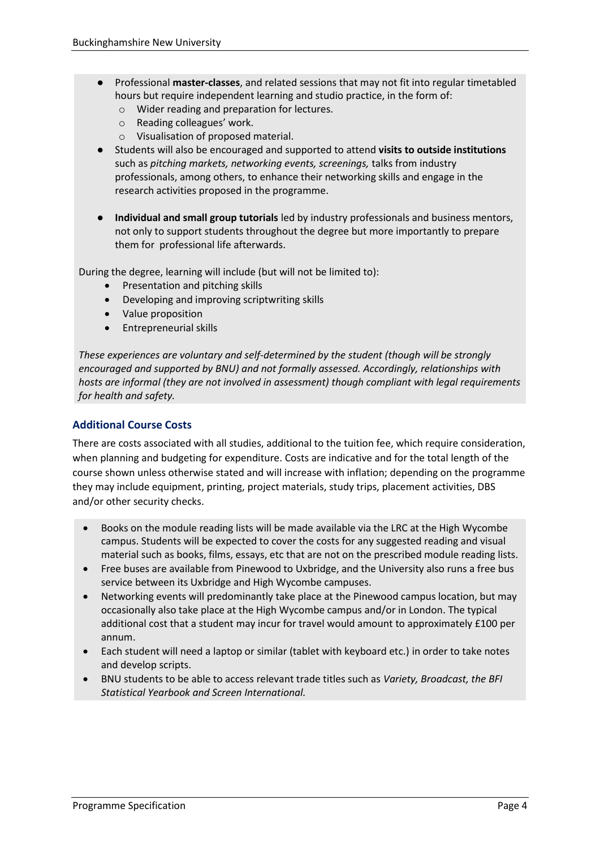- Professional **master-classes**, and related sessions that may not fit into regular timetabled hours but require independent learning and studio practice, in the form of:
	- o Wider reading and preparation for lectures.
	- o Reading colleagues' work.
	- o Visualisation of proposed material.
- Students will also be encouraged and supported to attend **visits to outside institutions** such as *pitching markets, networking events, screenings,* talks from industry professionals, among others, to enhance their networking skills and engage in the research activities proposed in the programme.
- **Individual and small group tutorials** led by industry professionals and business mentors, not only to support students throughout the degree but more importantly to prepare them for professional life afterwards.

During the degree, learning will include (but will not be limited to):

- Presentation and pitching skills
- Developing and improving scriptwriting skills
- Value proposition
- Entrepreneurial skills

*These experiences are voluntary and self-determined by the student (though will be strongly encouraged and supported by BNU) and not formally assessed. Accordingly, relationships with hosts are informal (they are not involved in assessment) though compliant with legal requirements for health and safety.* 

## **Additional Course Costs**

There are costs associated with all studies, additional to the tuition fee, which require consideration, when planning and budgeting for expenditure. Costs are indicative and for the total length of the course shown unless otherwise stated and will increase with inflation; depending on the programme they may include equipment, printing, project materials, study trips, placement activities, DBS and/or other security checks.

- Books on the module reading lists will be made available via the LRC at the High Wycombe campus. Students will be expected to cover the costs for any suggested reading and visual material such as books, films, essays, etc that are not on the prescribed module reading lists.
- Free buses are available from Pinewood to Uxbridge, and the University also runs a free bus service between its Uxbridge and High Wycombe campuses.
- Networking events will predominantly take place at the Pinewood campus location, but may occasionally also take place at the High Wycombe campus and/or in London. The typical additional cost that a student may incur for travel would amount to approximately £100 per annum.
- Each student will need a laptop or similar (tablet with keyboard etc.) in order to take notes and develop scripts.
- BNU students to be able to access relevant trade titles such as *Variety, Broadcast, the BFI Statistical Yearbook and Screen International.*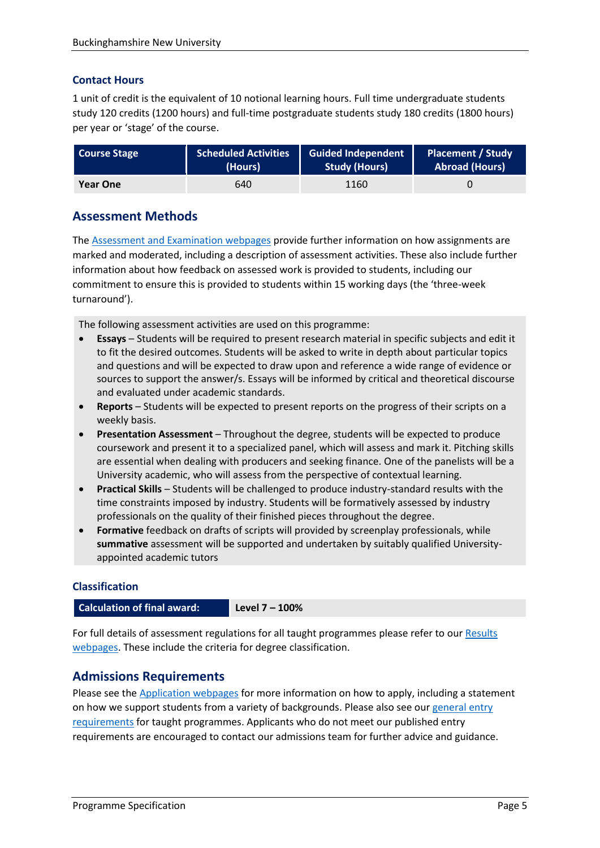## **Contact Hours**

1 unit of credit is the equivalent of 10 notional learning hours. Full time undergraduate students study 120 credits (1200 hours) and full-time postgraduate students study 180 credits (1800 hours) per year or 'stage' of the course.

| <b>Course Stage</b> | <b>Scheduled Activities</b> | <b>Guided Independent</b> | <b>Placement / Study</b> |
|---------------------|-----------------------------|---------------------------|--------------------------|
|                     | (Hours)                     | <b>Study (Hours)</b>      | <b>Abroad (Hours)</b>    |
| <b>Year One</b>     | 640                         | 1160                      |                          |

# **Assessment Methods**

The [Assessment and Examination webpages](https://bucks.ac.uk/students/academicadvice/assessment-and-examination) provide further information on how assignments are marked and moderated, including a description of assessment activities. These also include further information about how feedback on assessed work is provided to students, including our commitment to ensure this is provided to students within 15 working days (the 'three-week turnaround').

The following assessment activities are used on this programme:

- **Essays** Students will be required to present research material in specific subjects and edit it to fit the desired outcomes. Students will be asked to write in depth about particular topics and questions and will be expected to draw upon and reference a wide range of evidence or sources to support the answer/s. Essays will be informed by critical and theoretical discourse and evaluated under academic standards.
- **Reports** Students will be expected to present reports on the progress of their scripts on a weekly basis.
- **Presentation Assessment**  Throughout the degree, students will be expected to produce coursework and present it to a specialized panel, which will assess and mark it. Pitching skills are essential when dealing with producers and seeking finance. One of the panelists will be a University academic, who will assess from the perspective of contextual learning.
- **Practical Skills**  Students will be challenged to produce industry-standard results with the time constraints imposed by industry. Students will be formatively assessed by industry professionals on the quality of their finished pieces throughout the degree.
- **Formative** feedback on drafts of scripts will provided by screenplay professionals, while **summative** assessment will be supported and undertaken by suitably qualified Universityappointed academic tutors

## **Classification**

**Calculation of final award: Level 7 – 100%**

For full details of assessment regulations for all taught programmes please refer to our [Results](https://bucks.ac.uk/students/academicadvice/results)  [webpages.](https://bucks.ac.uk/students/academicadvice/results) These include the criteria for degree classification.

## **Admissions Requirements**

Please see the [Application webpages](https://bucks.ac.uk/applying-to-bucks) for more information on how to apply, including a statement on how we support students from a variety of backgrounds. Please also see our [general entry](https://bucks.ac.uk/applying-to-bucks/general-entry-requirements)  [requirements](https://bucks.ac.uk/applying-to-bucks/general-entry-requirements) for taught programmes. Applicants who do not meet our published entry requirements are encouraged to contact our admissions team for further advice and guidance.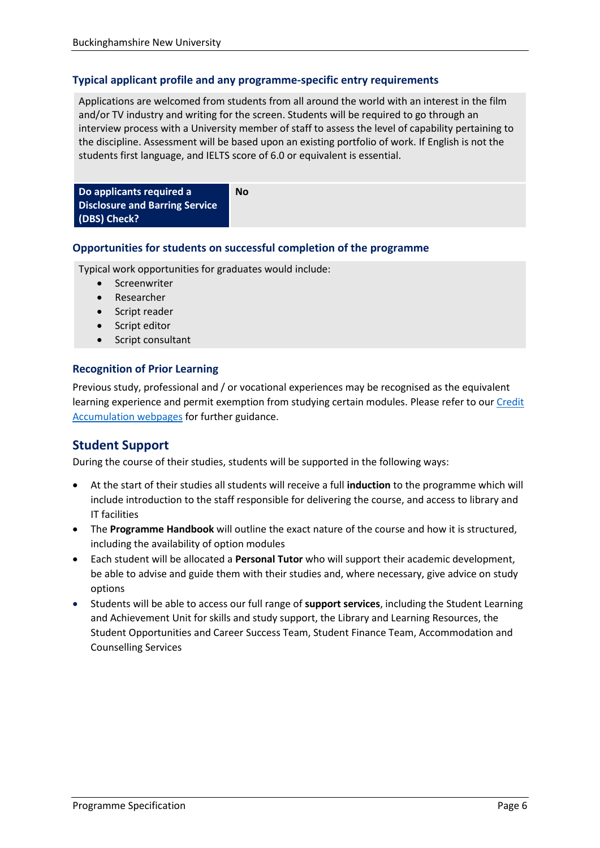## **Typical applicant profile and any programme-specific entry requirements**

Applications are welcomed from students from all around the world with an interest in the film and/or TV industry and writing for the screen. Students will be required to go through an interview process with a University member of staff to assess the level of capability pertaining to the discipline. Assessment will be based upon an existing portfolio of work. If English is not the students first language, and IELTS score of 6.0 or equivalent is essential.

**Do applicants required a Disclosure and Barring Service (DBS) Check? No**

#### **Opportunities for students on successful completion of the programme**

Typical work opportunities for graduates would include:

- Screenwriter
- Researcher
- Script reader
- Script editor
- Script consultant

## **Recognition of Prior Learning**

Previous study, professional and / or vocational experiences may be recognised as the equivalent learning experience and permit exemption from studying certain modules. Please refer to ou[r Credit](https://bucks.ac.uk/students/academicadvice/managing-your-studies/credit-accumulation)  [Accumulation webpages](https://bucks.ac.uk/students/academicadvice/managing-your-studies/credit-accumulation) for further guidance.

# **Student Support**

During the course of their studies, students will be supported in the following ways:

- At the start of their studies all students will receive a full **induction** to the programme which will include introduction to the staff responsible for delivering the course, and access to library and IT facilities
- The **Programme Handbook** will outline the exact nature of the course and how it is structured, including the availability of option modules
- Each student will be allocated a **Personal Tutor** who will support their academic development, be able to advise and guide them with their studies and, where necessary, give advice on study options
- Students will be able to access our full range of **support services**, including the Student Learning and Achievement Unit for skills and study support, the Library and Learning Resources, the Student Opportunities and Career Success Team, Student Finance Team, Accommodation and Counselling Services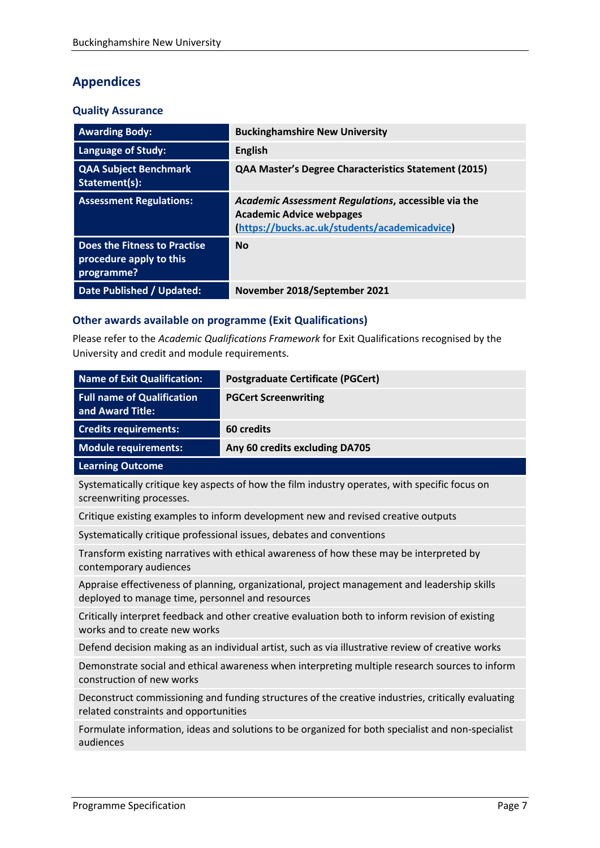# **Appendices**

## **Quality Assurance**

| <b>Awarding Body:</b>                                                 | <b>Buckinghamshire New University</b>                                                                                                   |
|-----------------------------------------------------------------------|-----------------------------------------------------------------------------------------------------------------------------------------|
| <b>Language of Study:</b>                                             | <b>English</b>                                                                                                                          |
| <b>QAA Subject Benchmark</b><br>Statement(s):                         | <b>QAA Master's Degree Characteristics Statement (2015)</b>                                                                             |
| <b>Assessment Regulations:</b>                                        | Academic Assessment Regulations, accessible via the<br><b>Academic Advice webpages</b><br>(https://bucks.ac.uk/students/academicadvice) |
| Does the Fitness to Practise<br>procedure apply to this<br>programme? | <b>No</b>                                                                                                                               |
| <b>Date Published / Updated:</b>                                      | November 2018/September 2021                                                                                                            |

# **Other awards available on programme (Exit Qualifications)**

Please refer to the *Academic Qualifications Framework* for Exit Qualifications recognised by the University and credit and module requirements.

| <b>Name of Exit Qualification:</b>                                                                                                               | <b>Postgraduate Certificate (PGCert)</b>                                                      |
|--------------------------------------------------------------------------------------------------------------------------------------------------|-----------------------------------------------------------------------------------------------|
| <b>Full name of Qualification</b><br>and Award Title:                                                                                            | <b>PGCert Screenwriting</b>                                                                   |
| <b>Credits requirements:</b>                                                                                                                     | 60 credits                                                                                    |
| <b>Module requirements:</b>                                                                                                                      | Any 60 credits excluding DA705                                                                |
| <b>Learning Outcome</b>                                                                                                                          |                                                                                               |
| screenwriting processes.                                                                                                                         | Systematically critique key aspects of how the film industry operates, with specific focus on |
| Critique existing examples to inform development new and revised creative outputs                                                                |                                                                                               |
| Systematically critique professional issues, debates and conventions                                                                             |                                                                                               |
| Transform existing narratives with ethical awareness of how these may be interpreted by<br>contemporary audiences                                |                                                                                               |
| Appraise effectiveness of planning, organizational, project management and leadership skills<br>deployed to manage time, personnel and resources |                                                                                               |
| Critically interpret feedback and other creative evaluation both to inform revision of existing<br>works and to create new works                 |                                                                                               |
| Defend decision making as an individual artist, such as via illustrative review of creative works                                                |                                                                                               |
| Demonstrate social and ethical awareness when interpreting multiple research sources to inform<br>construction of new works                      |                                                                                               |
| Deconstruct commissioning and funding structures of the creative industries, critically evaluating<br>related constraints and opportunities      |                                                                                               |
| Formulate information, ideas and solutions to be organized for both specialist and non-specialist<br>audiences                                   |                                                                                               |